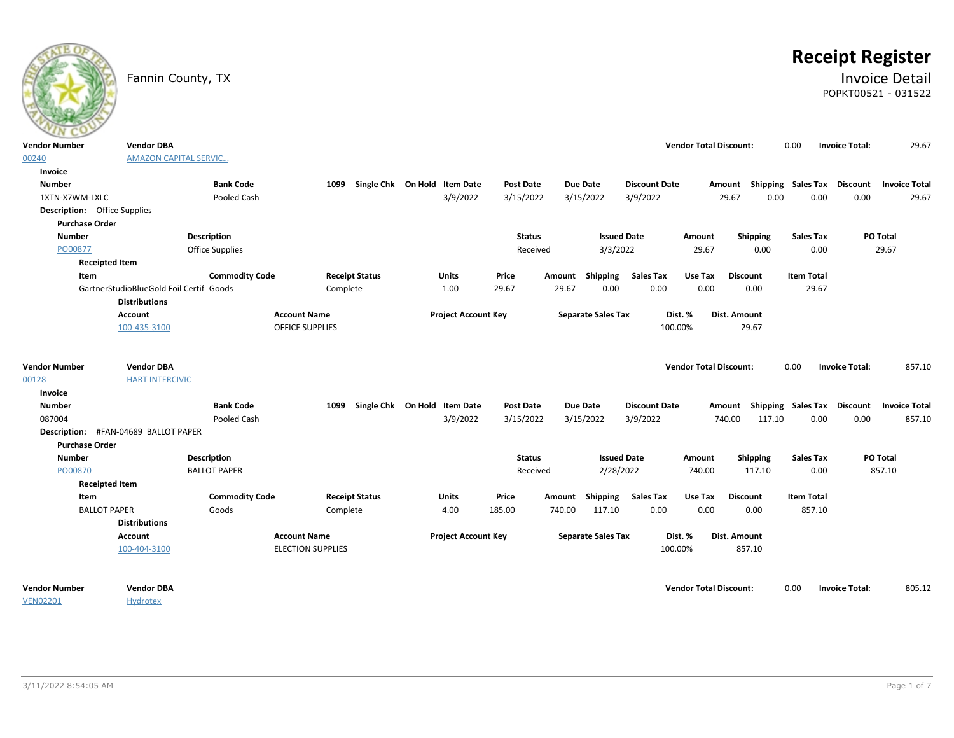# **Receipt Register**

### Fannin County, TX **Invoice Detail** POPKT00521 - 031522

| $\sim$<br><b>Vendor Number</b>       | <b>Vendor DBA</b>                       |                        |                          |                              |                  |                           |                      | <b>Vendor Total Discount:</b> |                                    | 0.00              | 29.67<br><b>Invoice Total:</b>          |
|--------------------------------------|-----------------------------------------|------------------------|--------------------------|------------------------------|------------------|---------------------------|----------------------|-------------------------------|------------------------------------|-------------------|-----------------------------------------|
| 00240                                | <b>AMAZON CAPITAL SERVIC</b>            |                        |                          |                              |                  |                           |                      |                               |                                    |                   |                                         |
| Invoice                              |                                         |                        |                          |                              |                  |                           |                      |                               |                                    |                   |                                         |
| <b>Number</b>                        |                                         | <b>Bank Code</b>       | 1099                     | Single Chk On Hold Item Date | <b>Post Date</b> | Due Date                  | <b>Discount Date</b> |                               | Amount Shipping Sales Tax Discount |                   | <b>Invoice Total</b>                    |
| 1XTN-X7WM-LXLC                       |                                         | Pooled Cash            |                          | 3/9/2022                     | 3/15/2022        | 3/15/2022                 | 3/9/2022             |                               | 29.67<br>0.00                      | 0.00              | 0.00<br>29.67                           |
| <b>Description:</b> Office Supplies  |                                         |                        |                          |                              |                  |                           |                      |                               |                                    |                   |                                         |
| <b>Purchase Order</b>                |                                         |                        |                          |                              |                  |                           |                      |                               |                                    |                   |                                         |
| <b>Number</b>                        |                                         | <b>Description</b>     |                          |                              | <b>Status</b>    |                           | <b>Issued Date</b>   | Amount                        | Shipping                           | <b>Sales Tax</b>  | PO Total                                |
| PO00877                              |                                         | <b>Office Supplies</b> |                          |                              | Received         | 3/3/2022                  |                      | 29.67                         | 0.00                               | 0.00              | 29.67                                   |
| <b>Receipted Item</b>                |                                         |                        |                          |                              |                  |                           |                      |                               |                                    |                   |                                         |
| Item                                 |                                         | <b>Commodity Code</b>  | <b>Receipt Status</b>    | Units                        | Price            | Shipping<br>Amount        | <b>Sales Tax</b>     | Use Tax                       | <b>Discount</b>                    | <b>Item Total</b> |                                         |
|                                      | GartnerStudioBlueGold Foil Certif Goods |                        | Complete                 | 1.00                         | 29.67            | 29.67<br>0.00             | 0.00                 | 0.00                          | 0.00                               | 29.67             |                                         |
|                                      | <b>Distributions</b>                    |                        |                          |                              |                  |                           |                      |                               |                                    |                   |                                         |
|                                      | <b>Account</b>                          |                        | <b>Account Name</b>      | <b>Project Account Key</b>   |                  | <b>Separate Sales Tax</b> | Dist. %              |                               | Dist. Amount                       |                   |                                         |
|                                      | 100-435-3100                            |                        | <b>OFFICE SUPPLIES</b>   |                              |                  |                           | 100.00%              |                               | 29.67                              |                   |                                         |
|                                      |                                         |                        |                          |                              |                  |                           |                      |                               |                                    |                   |                                         |
|                                      |                                         |                        |                          |                              |                  |                           |                      |                               |                                    |                   |                                         |
| <b>Vendor Number</b>                 | <b>Vendor DBA</b>                       |                        |                          |                              |                  |                           |                      | <b>Vendor Total Discount:</b> |                                    | 0.00              | 857.10<br><b>Invoice Total:</b>         |
| 00128                                | <b>HART INTERCIVIC</b>                  |                        |                          |                              |                  |                           |                      |                               |                                    |                   |                                         |
| Invoice                              |                                         |                        |                          |                              |                  |                           |                      |                               |                                    |                   |                                         |
| <b>Number</b>                        |                                         | <b>Bank Code</b>       | 1099                     | Single Chk On Hold Item Date | <b>Post Date</b> | <b>Due Date</b>           | <b>Discount Date</b> |                               | Amount Shipping Sales Tax          |                   | <b>Discount</b><br><b>Invoice Total</b> |
| 087004                               |                                         | Pooled Cash            |                          | 3/9/2022                     | 3/15/2022        | 3/15/2022                 | 3/9/2022             | 740.00                        | 117.10                             | 0.00              | 0.00<br>857.10                          |
| Description: #FAN-04689 BALLOT PAPER |                                         |                        |                          |                              |                  |                           |                      |                               |                                    |                   |                                         |
| <b>Purchase Order</b>                |                                         |                        |                          |                              |                  |                           |                      |                               |                                    |                   |                                         |
| <b>Number</b>                        |                                         | <b>Description</b>     |                          |                              | <b>Status</b>    |                           | <b>Issued Date</b>   | Amount                        | Shipping                           | <b>Sales Tax</b>  | PO Total                                |
| PO00870                              |                                         | <b>BALLOT PAPER</b>    |                          |                              | Received         |                           | 2/28/2022            | 740.00                        | 117.10                             | 0.00              | 857.10                                  |
| <b>Receipted Item</b>                |                                         |                        |                          |                              |                  |                           |                      |                               |                                    |                   |                                         |
| Item                                 |                                         | <b>Commodity Code</b>  | <b>Receipt Status</b>    | Units                        | Price            | Shipping<br>Amount        | <b>Sales Tax</b>     | Use Tax                       | <b>Discount</b>                    | <b>Item Total</b> |                                         |
| <b>BALLOT PAPER</b>                  |                                         | Goods                  | Complete                 | 4.00                         | 185.00           | 740.00<br>117.10          | 0.00                 | 0.00                          | 0.00                               | 857.10            |                                         |
|                                      | <b>Distributions</b>                    |                        |                          |                              |                  |                           |                      |                               |                                    |                   |                                         |
|                                      | <b>Account</b>                          |                        | <b>Account Name</b>      | <b>Project Account Key</b>   |                  | <b>Separate Sales Tax</b> | Dist. %              |                               | Dist. Amount                       |                   |                                         |
|                                      | 100-404-3100                            |                        | <b>ELECTION SUPPLIES</b> |                              |                  |                           | 100.00%              |                               | 857.10                             |                   |                                         |
|                                      |                                         |                        |                          |                              |                  |                           |                      |                               |                                    |                   |                                         |
| <b>Vendor Number</b>                 | <b>Vendor DBA</b>                       |                        |                          |                              |                  |                           |                      | <b>Vendor Total Discount:</b> |                                    | 0.00              | 805.12<br><b>Invoice Total:</b>         |
| <b>VEN02201</b>                      | <b>Hydrotex</b>                         |                        |                          |                              |                  |                           |                      |                               |                                    |                   |                                         |

VEN02201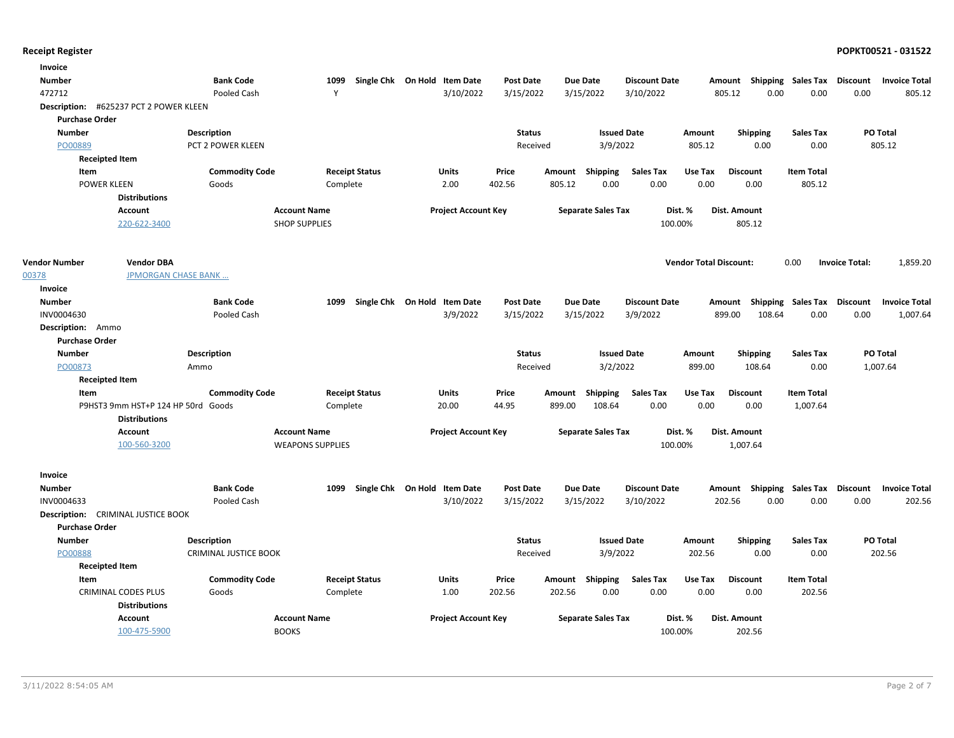| Invoice               |                                                    |                              |                         |                              |                            |                  |        |                           |                      |                               |                 |                 |                           |                       |                      |
|-----------------------|----------------------------------------------------|------------------------------|-------------------------|------------------------------|----------------------------|------------------|--------|---------------------------|----------------------|-------------------------------|-----------------|-----------------|---------------------------|-----------------------|----------------------|
| <b>Number</b>         |                                                    | <b>Bank Code</b>             | 1099                    | Single Chk On Hold Item Date |                            | Post Date        |        | <b>Due Date</b>           | <b>Discount Date</b> |                               |                 |                 | Amount Shipping Sales Tax | Discount              | <b>Invoice Total</b> |
| 472712                |                                                    | Pooled Cash                  | Y                       |                              | 3/10/2022                  | 3/15/2022        |        | 3/15/2022                 | 3/10/2022            |                               | 805.12          | 0.00            | 0.00                      | 0.00                  | 805.12               |
|                       | Description: #625237 PCT 2 POWER KLEEN             |                              |                         |                              |                            |                  |        |                           |                      |                               |                 |                 |                           |                       |                      |
| <b>Purchase Order</b> |                                                    |                              |                         |                              |                            |                  |        |                           |                      |                               |                 |                 |                           |                       |                      |
| <b>Number</b>         |                                                    | <b>Description</b>           |                         |                              |                            | <b>Status</b>    |        |                           | <b>Issued Date</b>   | Amount                        |                 | <b>Shipping</b> | <b>Sales Tax</b>          |                       | PO Total             |
| PO00889               |                                                    | PCT 2 POWER KLEEN            |                         |                              |                            | Received         |        | 3/9/2022                  |                      | 805.12                        |                 | 0.00            | 0.00                      |                       | 805.12               |
|                       | <b>Receipted Item</b>                              |                              |                         |                              |                            |                  |        |                           |                      |                               |                 |                 |                           |                       |                      |
| Item                  |                                                    | <b>Commodity Code</b>        |                         | <b>Receipt Status</b>        | <b>Units</b>               | Price            | Amount | <b>Shipping</b>           | <b>Sales Tax</b>     | Use Tax                       | <b>Discount</b> |                 | <b>Item Total</b>         |                       |                      |
|                       | <b>POWER KLEEN</b>                                 | Goods                        | Complete                |                              | 2.00                       | 402.56           | 805.12 | 0.00                      | 0.00                 | 0.00                          |                 | 0.00            | 805.12                    |                       |                      |
|                       | <b>Distributions</b>                               |                              |                         |                              |                            |                  |        |                           |                      |                               |                 |                 |                           |                       |                      |
|                       | <b>Account</b>                                     |                              | <b>Account Name</b>     |                              | <b>Project Account Key</b> |                  |        | <b>Separate Sales Tax</b> |                      | Dist. %                       | Dist. Amount    |                 |                           |                       |                      |
|                       | 220-622-3400                                       |                              | <b>SHOP SUPPLIES</b>    |                              |                            |                  |        |                           | 100.00%              |                               | 805.12          |                 |                           |                       |                      |
| <b>Vendor Number</b>  | <b>Vendor DBA</b>                                  |                              |                         |                              |                            |                  |        |                           |                      | <b>Vendor Total Discount:</b> |                 |                 | 0.00                      | <b>Invoice Total:</b> | 1,859.20             |
| 00378                 | <b>JPMORGAN CHASE BANK</b>                         |                              |                         |                              |                            |                  |        |                           |                      |                               |                 |                 |                           |                       |                      |
| Invoice               |                                                    |                              |                         |                              |                            |                  |        |                           |                      |                               |                 |                 |                           |                       |                      |
| <b>Number</b>         |                                                    | <b>Bank Code</b>             | 1099                    | Single Chk On Hold Item Date |                            | Post Date        |        | <b>Due Date</b>           | <b>Discount Date</b> |                               |                 |                 | Amount Shipping Sales Tax | <b>Discount</b>       | <b>Invoice Total</b> |
| INV0004630            |                                                    | Pooled Cash                  |                         |                              | 3/9/2022                   | 3/15/2022        |        | 3/15/2022                 | 3/9/2022             |                               | 899.00          | 108.64          | 0.00                      | 0.00                  | 1,007.64             |
| Description: Ammo     |                                                    |                              |                         |                              |                            |                  |        |                           |                      |                               |                 |                 |                           |                       |                      |
| <b>Purchase Order</b> |                                                    |                              |                         |                              |                            |                  |        |                           |                      |                               |                 |                 |                           |                       |                      |
| <b>Number</b>         |                                                    | <b>Description</b>           |                         |                              |                            | <b>Status</b>    |        |                           | <b>Issued Date</b>   | Amount                        |                 | <b>Shipping</b> | Sales Tax                 |                       | <b>PO Total</b>      |
| PO00873               |                                                    | Ammo                         |                         |                              |                            | Received         |        | 3/2/2022                  |                      | 899.00                        |                 | 108.64          | 0.00                      |                       | 1,007.64             |
|                       | <b>Receipted Item</b>                              |                              |                         |                              |                            |                  |        |                           |                      |                               |                 |                 |                           |                       |                      |
| Item                  |                                                    | <b>Commodity Code</b>        | <b>Receipt Status</b>   |                              | Units                      | Price            |        | Amount Shipping           | <b>Sales Tax</b>     | Use Tax                       | <b>Discount</b> |                 | <b>Item Total</b>         |                       |                      |
|                       | P9HST3 9mm HST+P 124 HP 50rd Goods                 |                              | Complete                |                              | 20.00                      | 44.95            | 899.00 | 108.64                    | 0.00                 | 0.00                          |                 | 0.00            | 1,007.64                  |                       |                      |
|                       | <b>Distributions</b>                               |                              |                         |                              |                            |                  |        |                           |                      |                               |                 |                 |                           |                       |                      |
|                       | <b>Account</b>                                     |                              | <b>Account Name</b>     |                              | <b>Project Account Key</b> |                  |        | <b>Separate Sales Tax</b> |                      | Dist. %                       | Dist. Amount    |                 |                           |                       |                      |
|                       | 100-560-3200                                       |                              | <b>WEAPONS SUPPLIES</b> |                              |                            |                  |        |                           | 100.00%              |                               | 1,007.64        |                 |                           |                       |                      |
| Invoice               |                                                    |                              |                         |                              |                            |                  |        |                           |                      |                               |                 |                 |                           |                       |                      |
| <b>Number</b>         |                                                    | <b>Bank Code</b>             | 1099                    | Single Chk On Hold Item Date |                            | <b>Post Date</b> |        | <b>Due Date</b>           | <b>Discount Date</b> |                               |                 |                 | Amount Shipping Sales Tax | Discount              | <b>Invoice Total</b> |
| INV0004633            |                                                    | Pooled Cash                  |                         |                              | 3/10/2022                  | 3/15/2022        |        | 3/15/2022                 | 3/10/2022            |                               | 202.56          | 0.00            | 0.00                      | 0.00                  | 202.56               |
|                       | <b>Description:</b> CRIMINAL JUSTICE BOOK          |                              |                         |                              |                            |                  |        |                           |                      |                               |                 |                 |                           |                       |                      |
| <b>Purchase Order</b> |                                                    |                              |                         |                              |                            |                  |        |                           |                      |                               |                 |                 |                           |                       |                      |
| Number                |                                                    | <b>Description</b>           |                         |                              |                            | <b>Status</b>    |        | <b>Issued Date</b>        |                      | Amount                        |                 | <b>Shipping</b> | <b>Sales Tax</b>          |                       | PO Total             |
| PO00888               |                                                    | <b>CRIMINAL JUSTICE BOOK</b> |                         |                              |                            | Received         |        | 3/9/2022                  |                      | 202.56                        |                 | 0.00            | 0.00                      |                       | 202.56               |
|                       | <b>Receipted Item</b>                              |                              |                         |                              |                            |                  |        |                           |                      |                               |                 |                 |                           |                       |                      |
| Item                  |                                                    | <b>Commodity Code</b>        | <b>Receipt Status</b>   |                              | <b>Units</b>               | Price            |        | Amount Shipping           | <b>Sales Tax</b>     | Use Tax                       | <b>Discount</b> |                 | <b>Item Total</b>         |                       |                      |
|                       | <b>CRIMINAL CODES PLUS</b><br><b>Distributions</b> | Goods                        | Complete                |                              | 1.00                       | 202.56           | 202.56 | 0.00                      | 0.00                 | 0.00                          |                 | 0.00            | 202.56                    |                       |                      |
|                       | <b>Account</b>                                     |                              | <b>Account Name</b>     |                              | <b>Project Account Key</b> |                  |        | <b>Separate Sales Tax</b> |                      | Dist. %                       | Dist. Amount    |                 |                           |                       |                      |
|                       | 100-475-5900                                       |                              | <b>BOOKS</b>            |                              |                            |                  |        |                           | 100.00%              |                               | 202.56          |                 |                           |                       |                      |
|                       |                                                    |                              |                         |                              |                            |                  |        |                           |                      |                               |                 |                 |                           |                       |                      |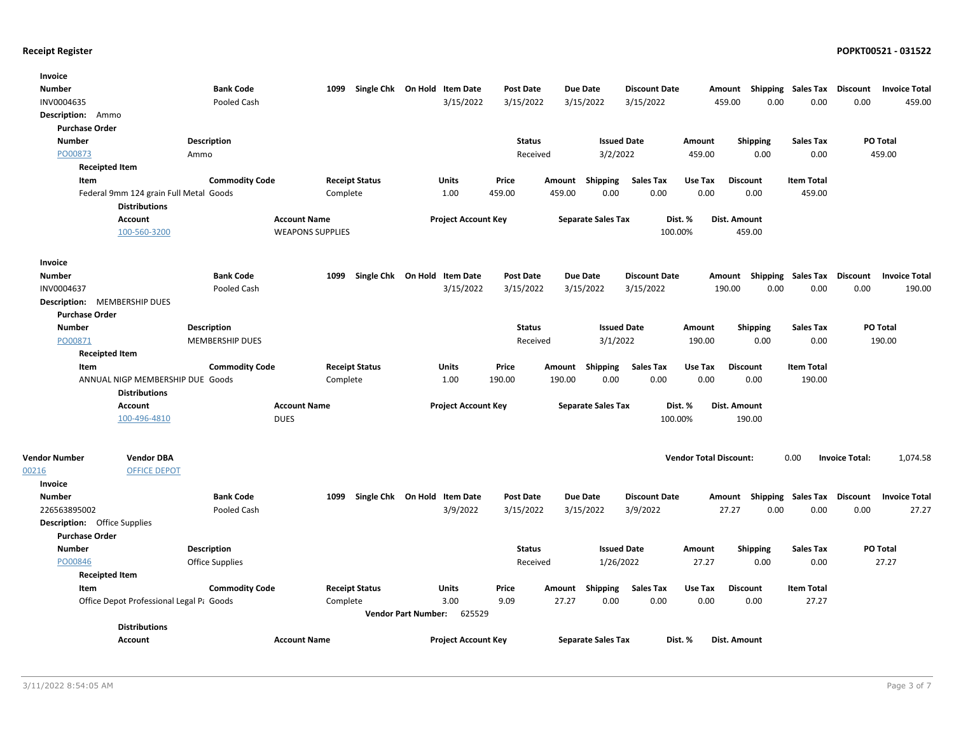| Invoice                             |                                                                |                        |                         |                              |                            |                            |                  |        |                           |                      |                               |                           |                             |                       |                      |
|-------------------------------------|----------------------------------------------------------------|------------------------|-------------------------|------------------------------|----------------------------|----------------------------|------------------|--------|---------------------------|----------------------|-------------------------------|---------------------------|-----------------------------|-----------------------|----------------------|
| <b>Number</b>                       |                                                                | <b>Bank Code</b>       | 1099                    | Single Chk On Hold Item Date |                            |                            | Post Date        |        | <b>Due Date</b>           | <b>Discount Date</b> |                               | Amount Shipping Sales Tax |                             | Discount              | <b>Invoice Total</b> |
| INV0004635                          |                                                                | Pooled Cash            |                         |                              |                            | 3/15/2022                  | 3/15/2022        |        | 3/15/2022                 | 3/15/2022            | 459.00                        | 0.00                      | 0.00                        | 0.00                  | 459.00               |
| Description: Ammo                   |                                                                |                        |                         |                              |                            |                            |                  |        |                           |                      |                               |                           |                             |                       |                      |
| <b>Purchase Order</b>               |                                                                |                        |                         |                              |                            |                            |                  |        |                           |                      |                               |                           |                             |                       |                      |
| <b>Number</b>                       |                                                                | Description            |                         |                              |                            |                            | <b>Status</b>    |        | <b>Issued Date</b>        |                      | Amount                        | <b>Shipping</b>           | <b>Sales Tax</b>            |                       | PO Total             |
| PO00873                             |                                                                | Ammo                   |                         |                              |                            |                            | Received         |        | 3/2/2022                  |                      | 459.00                        | 0.00                      | 0.00                        |                       | 459.00               |
| <b>Receipted Item</b>               |                                                                |                        |                         |                              |                            |                            |                  |        |                           |                      |                               |                           |                             |                       |                      |
| Item                                |                                                                | <b>Commodity Code</b>  |                         | <b>Receipt Status</b>        |                            | Units                      | Price            | Amount | <b>Shipping</b>           | <b>Sales Tax</b>     | Use Tax                       | <b>Discount</b>           | <b>Item Total</b>           |                       |                      |
|                                     | Federal 9mm 124 grain Full Metal Goods<br><b>Distributions</b> |                        | Complete                |                              |                            | 1.00                       | 459.00           | 459.00 | 0.00                      | 0.00                 | 0.00                          | 0.00                      | 459.00                      |                       |                      |
|                                     | <b>Account</b>                                                 |                        | <b>Account Name</b>     |                              |                            | <b>Project Account Key</b> |                  |        | <b>Separate Sales Tax</b> | Dist. %              |                               | Dist. Amount              |                             |                       |                      |
|                                     | 100-560-3200                                                   |                        | <b>WEAPONS SUPPLIES</b> |                              |                            |                            |                  |        |                           | 100.00%              |                               | 459.00                    |                             |                       |                      |
| Invoice                             |                                                                |                        |                         |                              |                            |                            |                  |        |                           |                      |                               |                           |                             |                       |                      |
| <b>Number</b>                       |                                                                | <b>Bank Code</b>       | 1099                    | Single Chk On Hold Item Date |                            |                            | <b>Post Date</b> |        | <b>Due Date</b>           | <b>Discount Date</b> | Amount                        |                           | Shipping Sales Tax Discount |                       | <b>Invoice Total</b> |
| INV0004637                          |                                                                | Pooled Cash            |                         |                              |                            | 3/15/2022                  | 3/15/2022        |        | 3/15/2022                 | 3/15/2022            | 190.00                        | 0.00                      | 0.00                        | 0.00                  | 190.00               |
| Description: MEMBERSHIP DUES        |                                                                |                        |                         |                              |                            |                            |                  |        |                           |                      |                               |                           |                             |                       |                      |
| <b>Purchase Order</b>               |                                                                |                        |                         |                              |                            |                            |                  |        |                           |                      |                               |                           |                             |                       |                      |
| <b>Number</b>                       |                                                                | Description            |                         |                              |                            |                            | <b>Status</b>    |        | <b>Issued Date</b>        |                      | Amount                        | <b>Shipping</b>           | <b>Sales Tax</b>            |                       | PO Total             |
| PO00871                             |                                                                | <b>MEMBERSHIP DUES</b> |                         |                              |                            |                            | Received         |        | 3/1/2022                  |                      | 190.00                        | 0.00                      | 0.00                        |                       | 190.00               |
| <b>Receipted Item</b>               |                                                                |                        |                         |                              |                            |                            |                  |        |                           |                      |                               |                           |                             |                       |                      |
| Item                                |                                                                | <b>Commodity Code</b>  |                         | <b>Receipt Status</b>        |                            | Units                      | Price            | Amount | <b>Shipping</b>           | <b>Sales Tax</b>     | Use Tax                       | <b>Discount</b>           | <b>Item Total</b>           |                       |                      |
|                                     | ANNUAL NIGP MEMBERSHIP DUE Goods                               |                        | Complete                |                              |                            | 1.00                       | 190.00           | 190.00 | 0.00                      | 0.00                 | 0.00                          | 0.00                      | 190.00                      |                       |                      |
|                                     | <b>Distributions</b>                                           |                        |                         |                              |                            |                            |                  |        |                           |                      |                               |                           |                             |                       |                      |
|                                     | <b>Account</b>                                                 |                        | <b>Account Name</b>     |                              |                            | <b>Project Account Key</b> |                  |        | <b>Separate Sales Tax</b> | Dist. %              |                               | Dist. Amount              |                             |                       |                      |
|                                     | 100-496-4810                                                   |                        | <b>DUES</b>             |                              |                            |                            |                  |        |                           | 100.00%              |                               | 190.00                    |                             |                       |                      |
| <b>Vendor Number</b>                | <b>Vendor DBA</b>                                              |                        |                         |                              |                            |                            |                  |        |                           |                      | <b>Vendor Total Discount:</b> |                           | 0.00                        | <b>Invoice Total:</b> | 1,074.58             |
| 00216                               | <b>OFFICE DEPOT</b>                                            |                        |                         |                              |                            |                            |                  |        |                           |                      |                               |                           |                             |                       |                      |
| Invoice                             |                                                                |                        |                         |                              |                            |                            |                  |        |                           |                      |                               |                           |                             |                       |                      |
| <b>Number</b>                       |                                                                | <b>Bank Code</b>       | 1099                    | Single Chk On Hold Item Date |                            |                            | <b>Post Date</b> |        | <b>Due Date</b>           | <b>Discount Date</b> |                               | Amount Shipping Sales Tax |                             | <b>Discount</b>       | <b>Invoice Total</b> |
| 226563895002                        |                                                                | Pooled Cash            |                         |                              |                            | 3/9/2022                   | 3/15/2022        |        | 3/15/2022                 | 3/9/2022             |                               | 0.00<br>27.27             | 0.00                        | 0.00                  | 27.27                |
| <b>Description:</b> Office Supplies |                                                                |                        |                         |                              |                            |                            |                  |        |                           |                      |                               |                           |                             |                       |                      |
| <b>Purchase Order</b>               |                                                                |                        |                         |                              |                            |                            |                  |        |                           |                      |                               |                           |                             |                       |                      |
| <b>Number</b>                       |                                                                | <b>Description</b>     |                         |                              |                            |                            | <b>Status</b>    |        | <b>Issued Date</b>        |                      | Amount                        | <b>Shipping</b>           | <b>Sales Tax</b>            |                       | <b>PO Total</b>      |
| PO00846                             |                                                                | <b>Office Supplies</b> |                         |                              |                            |                            | Received         |        | 1/26/2022                 |                      | 27.27                         | 0.00                      | 0.00                        |                       | 27.27                |
| <b>Receipted Item</b>               |                                                                |                        |                         |                              |                            |                            |                  |        |                           |                      |                               |                           |                             |                       |                      |
| Item                                |                                                                | <b>Commodity Code</b>  |                         | <b>Receipt Status</b>        |                            | <b>Units</b>               | Price            | Amount | Shipping                  | <b>Sales Tax</b>     | Use Tax                       | <b>Discount</b>           | <b>Item Total</b>           |                       |                      |
|                                     | Office Depot Professional Legal Pt Goods                       |                        | Complete                |                              |                            | 3.00                       | 9.09             | 27.27  | 0.00                      | 0.00                 | 0.00                          | 0.00                      | 27.27                       |                       |                      |
|                                     |                                                                |                        |                         |                              | <b>Vendor Part Number:</b> | 625529                     |                  |        |                           |                      |                               |                           |                             |                       |                      |
|                                     | <b>Distributions</b>                                           |                        |                         |                              |                            |                            |                  |        |                           |                      |                               |                           |                             |                       |                      |
|                                     | Account                                                        |                        | <b>Account Name</b>     |                              |                            | <b>Project Account Key</b> |                  |        | <b>Separate Sales Tax</b> | Dist. %              |                               | Dist. Amount              |                             |                       |                      |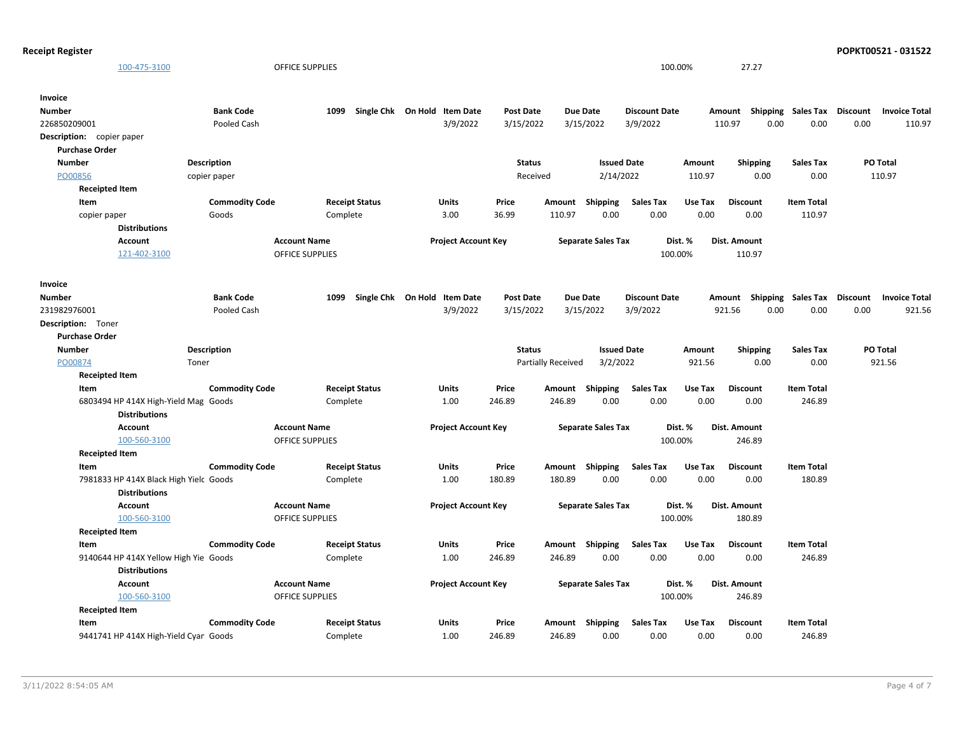```
Receipt Register POPKT00521 - 031522
```

| 100-475-3100                           |                       | OFFICE SUPPLIES        |                              |                  |                    |                           | 100.00%              |         | 27.27           |                             |                 |                      |
|----------------------------------------|-----------------------|------------------------|------------------------------|------------------|--------------------|---------------------------|----------------------|---------|-----------------|-----------------------------|-----------------|----------------------|
| Invoice                                |                       |                        |                              |                  |                    |                           |                      |         |                 |                             |                 |                      |
| Number                                 | <b>Bank Code</b>      | 1099                   | Single Chk On Hold Item Date | <b>Post Date</b> |                    | Due Date                  | <b>Discount Date</b> |         | Amount          | <b>Shipping Sales Tax</b>   | <b>Discount</b> | <b>Invoice Total</b> |
| 226850209001                           | Pooled Cash           |                        | 3/9/2022                     | 3/15/2022        |                    | 3/15/2022                 | 3/9/2022             |         | 110.97<br>0.00  | 0.00                        | 0.00            | 110.97               |
| Description: copier paper              |                       |                        |                              |                  |                    |                           |                      |         |                 |                             |                 |                      |
| <b>Purchase Order</b>                  |                       |                        |                              |                  |                    |                           |                      |         |                 |                             |                 |                      |
| <b>Number</b>                          | <b>Description</b>    |                        |                              | <b>Status</b>    |                    | <b>Issued Date</b>        |                      | Amount  | <b>Shipping</b> | <b>Sales Tax</b>            |                 | PO Total             |
| PO00856                                | copier paper          |                        |                              | Received         |                    | 2/14/2022                 |                      | 110.97  | 0.00            | 0.00                        |                 | 110.97               |
| <b>Receipted Item</b>                  |                       |                        |                              |                  |                    |                           |                      |         |                 |                             |                 |                      |
| Item                                   | <b>Commodity Code</b> | <b>Receipt Status</b>  | Units                        | Price            | Amount             | Shipping                  | <b>Sales Tax</b>     | Use Tax | <b>Discount</b> | <b>Item Total</b>           |                 |                      |
| copier paper                           | Goods                 | Complete               | 3.00                         | 36.99            | 110.97             | 0.00                      | 0.00                 | 0.00    | 0.00            | 110.97                      |                 |                      |
| <b>Distributions</b>                   |                       |                        |                              |                  |                    |                           |                      |         |                 |                             |                 |                      |
| <b>Account</b>                         |                       | <b>Account Name</b>    | <b>Project Account Key</b>   |                  |                    | <b>Separate Sales Tax</b> |                      | Dist. % | Dist. Amount    |                             |                 |                      |
| 121-402-3100                           |                       | <b>OFFICE SUPPLIES</b> |                              |                  |                    |                           | 100.00%              |         | 110.97          |                             |                 |                      |
| Invoice                                |                       |                        |                              |                  |                    |                           |                      |         |                 |                             |                 |                      |
| Number                                 | <b>Bank Code</b>      | 1099                   | Single Chk On Hold Item Date | <b>Post Date</b> |                    | <b>Due Date</b>           | <b>Discount Date</b> |         | Amount          | Shipping Sales Tax Discount |                 | <b>Invoice Total</b> |
| 231982976001                           | Pooled Cash           |                        | 3/9/2022                     | 3/15/2022        |                    | 3/15/2022                 | 3/9/2022             |         | 921.56<br>0.00  | 0.00                        | 0.00            | 921.56               |
| Description: Toner                     |                       |                        |                              |                  |                    |                           |                      |         |                 |                             |                 |                      |
| <b>Purchase Order</b>                  |                       |                        |                              |                  |                    |                           |                      |         |                 |                             |                 |                      |
| <b>Number</b>                          | <b>Description</b>    |                        |                              | <b>Status</b>    |                    | <b>Issued Date</b>        |                      | Amount  | <b>Shipping</b> | <b>Sales Tax</b>            |                 | PO Total             |
| PO00874                                | Toner                 |                        |                              |                  | Partially Received | 3/2/2022                  |                      | 921.56  | 0.00            | 0.00                        |                 | 921.56               |
| <b>Receipted Item</b>                  |                       |                        |                              |                  |                    |                           |                      |         |                 |                             |                 |                      |
| Item                                   | <b>Commodity Code</b> | <b>Receipt Status</b>  | Units                        | Price            | Amount             | Shipping                  | <b>Sales Tax</b>     | Use Tax | <b>Discount</b> | <b>Item Total</b>           |                 |                      |
| 6803494 HP 414X High-Yield Mag Goods   |                       | Complete               | 1.00                         | 246.89           | 246.89             | 0.00                      | 0.00                 | 0.00    | 0.00            | 246.89                      |                 |                      |
| <b>Distributions</b>                   |                       |                        |                              |                  |                    |                           |                      |         |                 |                             |                 |                      |
| Account                                |                       | <b>Account Name</b>    | <b>Project Account Key</b>   |                  |                    | <b>Separate Sales Tax</b> |                      | Dist. % | Dist. Amount    |                             |                 |                      |
| 100-560-3100                           |                       | OFFICE SUPPLIES        |                              |                  |                    |                           | 100.00%              |         | 246.89          |                             |                 |                      |
| <b>Receipted Item</b>                  |                       |                        |                              |                  |                    |                           |                      |         |                 |                             |                 |                      |
| Item                                   | <b>Commodity Code</b> | <b>Receipt Status</b>  | Units                        | Price            | Amount             | Shipping                  | <b>Sales Tax</b>     | Use Tax | <b>Discount</b> | <b>Item Total</b>           |                 |                      |
| 7981833 HP 414X Black High Yielc Goods |                       | Complete               | 1.00                         | 180.89           | 180.89             | 0.00                      | 0.00                 | 0.00    | 0.00            | 180.89                      |                 |                      |
| <b>Distributions</b>                   |                       |                        |                              |                  |                    |                           |                      |         |                 |                             |                 |                      |
| <b>Account</b>                         |                       | <b>Account Name</b>    | <b>Project Account Key</b>   |                  |                    | <b>Separate Sales Tax</b> |                      | Dist. % | Dist. Amount    |                             |                 |                      |
| 100-560-3100                           |                       | OFFICE SUPPLIES        |                              |                  |                    |                           | 100.00%              |         | 180.89          |                             |                 |                      |
| <b>Receipted Item</b>                  |                       |                        |                              |                  |                    |                           |                      |         |                 |                             |                 |                      |
| Item                                   | <b>Commodity Code</b> | <b>Receipt Status</b>  | Units                        | Price            | Amount             | Shipping                  | <b>Sales Tax</b>     | Use Tax | <b>Discount</b> | <b>Item Total</b>           |                 |                      |
| 9140644 HP 414X Yellow High Yie Goods  |                       | Complete               | 1.00                         | 246.89           | 246.89             | 0.00                      | 0.00                 | 0.00    | 0.00            | 246.89                      |                 |                      |
| <b>Distributions</b>                   |                       |                        |                              |                  |                    |                           |                      |         |                 |                             |                 |                      |
| <b>Account</b>                         |                       | <b>Account Name</b>    | <b>Project Account Key</b>   |                  |                    | <b>Separate Sales Tax</b> |                      | Dist. % | Dist. Amount    |                             |                 |                      |
| 100-560-3100                           |                       | OFFICE SUPPLIES        |                              |                  |                    |                           | 100.00%              |         | 246.89          |                             |                 |                      |
| <b>Receipted Item</b>                  |                       |                        |                              |                  |                    |                           |                      |         |                 |                             |                 |                      |
| Item                                   | <b>Commodity Code</b> | <b>Receipt Status</b>  | <b>Units</b>                 | Price            |                    | Amount Shipping           | <b>Sales Tax</b>     | Use Tax | <b>Discount</b> | <b>Item Total</b>           |                 |                      |
| 9441741 HP 414X High-Yield Cyan Goods  |                       | Complete               | 1.00                         | 246.89           | 246.89             | 0.00                      | 0.00                 | 0.00    | 0.00            | 246.89                      |                 |                      |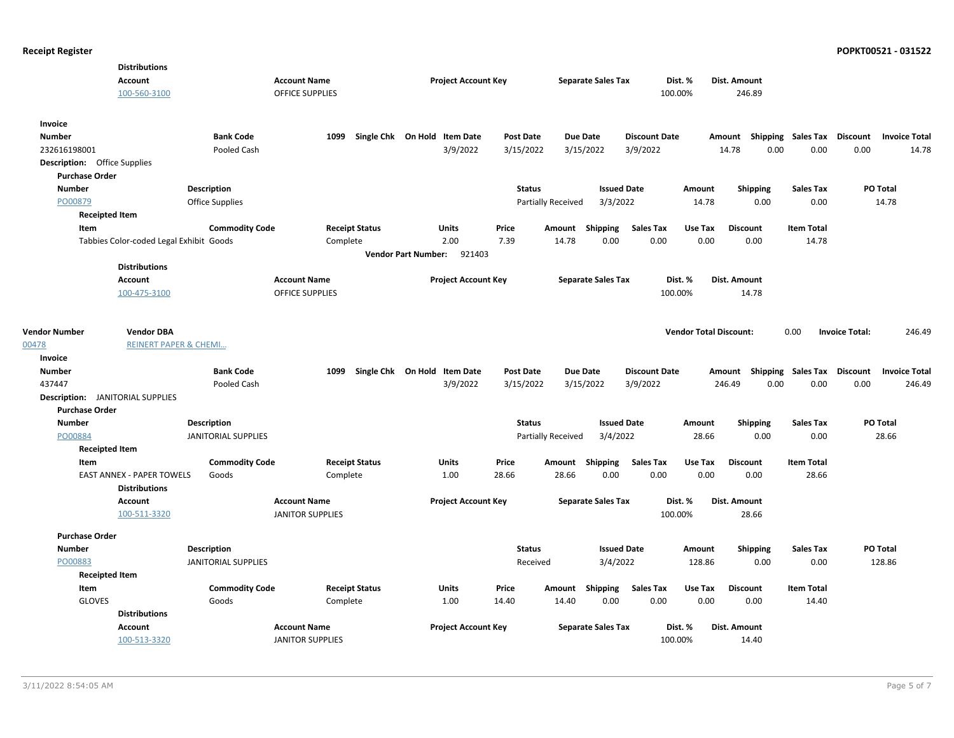|                                         | <b>Distributions</b>                    |                            |                                               |          |                       |                              |                  |                    |                           |                      |                               |                                    |                           |                       |                      |
|-----------------------------------------|-----------------------------------------|----------------------------|-----------------------------------------------|----------|-----------------------|------------------------------|------------------|--------------------|---------------------------|----------------------|-------------------------------|------------------------------------|---------------------------|-----------------------|----------------------|
|                                         | <b>Account</b><br>100-560-3100          |                            | <b>Account Name</b><br><b>OFFICE SUPPLIES</b> |          |                       | <b>Project Account Key</b>   |                  |                    | <b>Separate Sales Tax</b> |                      | Dist. %<br>100.00%            | Dist. Amount<br>246.89             |                           |                       |                      |
| Invoice                                 |                                         |                            |                                               |          |                       |                              |                  |                    |                           |                      |                               |                                    |                           |                       |                      |
| <b>Number</b>                           |                                         | <b>Bank Code</b>           |                                               | 1099     |                       | Single Chk On Hold Item Date | <b>Post Date</b> |                    | <b>Due Date</b>           | <b>Discount Date</b> |                               | Amount Shipping Sales Tax Discount |                           |                       | <b>Invoice Total</b> |
| 232616198001                            |                                         | Pooled Cash                |                                               |          |                       | 3/9/2022                     | 3/15/2022        |                    | 3/15/2022                 | 3/9/2022             |                               | 14.78<br>0.00                      | 0.00                      | 0.00                  | 14.78                |
| <b>Description:</b> Office Supplies     |                                         |                            |                                               |          |                       |                              |                  |                    |                           |                      |                               |                                    |                           |                       |                      |
| <b>Purchase Order</b>                   |                                         |                            |                                               |          |                       |                              |                  |                    |                           |                      |                               |                                    |                           |                       |                      |
| <b>Number</b>                           |                                         | <b>Description</b>         |                                               |          |                       |                              |                  | <b>Status</b>      | <b>Issued Date</b>        |                      | Amount                        | <b>Shipping</b>                    | <b>Sales Tax</b>          |                       | PO Total             |
| PO00879                                 |                                         | <b>Office Supplies</b>     |                                               |          |                       |                              |                  | Partially Received | 3/3/2022                  |                      | 14.78                         | 0.00                               | 0.00                      |                       | 14.78                |
| <b>Receipted Item</b>                   |                                         |                            |                                               |          |                       |                              |                  |                    |                           |                      |                               |                                    |                           |                       |                      |
| Item                                    |                                         | <b>Commodity Code</b>      |                                               |          | <b>Receipt Status</b> | Units                        | Price            |                    | Amount Shipping           | <b>Sales Tax</b>     | Use Tax                       | <b>Discount</b>                    | <b>Item Total</b>         |                       |                      |
|                                         | Tabbies Color-coded Legal Exhibit Goods |                            |                                               | Complete |                       | 2.00                         | 7.39             | 14.78              | 0.00                      | 0.00                 | 0.00                          | 0.00                               | 14.78                     |                       |                      |
|                                         |                                         |                            |                                               |          |                       | Vendor Part Number: 921403   |                  |                    |                           |                      |                               |                                    |                           |                       |                      |
|                                         | <b>Distributions</b>                    |                            |                                               |          |                       |                              |                  |                    |                           |                      |                               |                                    |                           |                       |                      |
|                                         | Account                                 |                            | <b>Account Name</b>                           |          |                       | <b>Project Account Key</b>   |                  |                    | <b>Separate Sales Tax</b> |                      | Dist. %                       | Dist. Amount                       |                           |                       |                      |
|                                         | 100-475-3100                            |                            | <b>OFFICE SUPPLIES</b>                        |          |                       |                              |                  |                    |                           |                      | 100.00%                       | 14.78                              |                           |                       |                      |
|                                         |                                         |                            |                                               |          |                       |                              |                  |                    |                           |                      |                               |                                    |                           |                       |                      |
| <b>Vendor Number</b>                    | <b>Vendor DBA</b>                       |                            |                                               |          |                       |                              |                  |                    |                           |                      | <b>Vendor Total Discount:</b> |                                    | 0.00                      | <b>Invoice Total:</b> | 246.49               |
| 00478                                   | <b>REINERT PAPER &amp; CHEMI</b>        |                            |                                               |          |                       |                              |                  |                    |                           |                      |                               |                                    |                           |                       |                      |
| Invoice                                 |                                         |                            |                                               |          |                       |                              |                  |                    |                           |                      |                               |                                    |                           |                       |                      |
| <b>Number</b>                           |                                         | <b>Bank Code</b>           |                                               | 1099     |                       | Single Chk On Hold Item Date | <b>Post Date</b> |                    | Due Date                  | <b>Discount Date</b> |                               | Amount                             | <b>Shipping Sales Tax</b> | <b>Discount</b>       | <b>Invoice Total</b> |
| 437447                                  |                                         | Pooled Cash                |                                               |          |                       | 3/9/2022                     | 3/15/2022        |                    | 3/15/2022                 | 3/9/2022             |                               | 0.00<br>246.49                     | 0.00                      | 0.00                  | 246.49               |
| <b>Description:</b> JANITORIAL SUPPLIES |                                         |                            |                                               |          |                       |                              |                  |                    |                           |                      |                               |                                    |                           |                       |                      |
| <b>Purchase Order</b>                   |                                         |                            |                                               |          |                       |                              |                  |                    |                           |                      |                               |                                    |                           |                       |                      |
| <b>Number</b>                           |                                         | Description                |                                               |          |                       |                              |                  | <b>Status</b>      | <b>Issued Date</b>        |                      | Amount                        | <b>Shipping</b>                    | <b>Sales Tax</b>          |                       | PO Total             |
| PO00884                                 |                                         | <b>JANITORIAL SUPPLIES</b> |                                               |          |                       |                              |                  | Partially Received | 3/4/2022                  |                      | 28.66                         | 0.00                               | 0.00                      |                       | 28.66                |
| <b>Receipted Item</b>                   |                                         |                            |                                               |          |                       |                              |                  |                    |                           |                      |                               |                                    |                           |                       |                      |
| Item                                    |                                         | <b>Commodity Code</b>      |                                               |          | <b>Receipt Status</b> | Units                        | Price            |                    | Amount Shipping           | <b>Sales Tax</b>     | Use Tax                       | <b>Discount</b>                    | <b>Item Total</b>         |                       |                      |
|                                         | <b>EAST ANNEX - PAPER TOWELS</b>        | Goods                      |                                               | Complete |                       | 1.00                         | 28.66            | 28.66              | 0.00                      | 0.00                 | 0.00                          | 0.00                               | 28.66                     |                       |                      |
|                                         | <b>Distributions</b>                    |                            |                                               |          |                       |                              |                  |                    |                           |                      |                               |                                    |                           |                       |                      |
|                                         | <b>Account</b>                          |                            | <b>Account Name</b>                           |          |                       | <b>Project Account Key</b>   |                  |                    | <b>Separate Sales Tax</b> |                      | Dist. %                       | Dist. Amount                       |                           |                       |                      |
|                                         | 100-511-3320                            |                            | <b>JANITOR SUPPLIES</b>                       |          |                       |                              |                  |                    |                           |                      | 100.00%                       | 28.66                              |                           |                       |                      |
| <b>Purchase Order</b>                   |                                         |                            |                                               |          |                       |                              |                  |                    |                           |                      |                               |                                    |                           |                       |                      |
| <b>Number</b>                           |                                         | <b>Description</b>         |                                               |          |                       |                              |                  | <b>Status</b>      | <b>Issued Date</b>        |                      | Amount                        | <b>Shipping</b>                    | <b>Sales Tax</b>          |                       | PO Total             |
| PO00883                                 |                                         | <b>JANITORIAL SUPPLIES</b> |                                               |          |                       |                              |                  | Received           | 3/4/2022                  |                      | 128.86                        | 0.00                               | 0.00                      |                       | 128.86               |
| <b>Receipted Item</b>                   |                                         |                            |                                               |          |                       |                              |                  |                    |                           |                      |                               |                                    |                           |                       |                      |
| Item                                    |                                         | <b>Commodity Code</b>      |                                               |          | <b>Receipt Status</b> | Units                        | Price            |                    | Amount Shipping           | <b>Sales Tax</b>     | Use Tax                       | <b>Discount</b>                    | <b>Item Total</b>         |                       |                      |
| <b>GLOVES</b>                           |                                         | Goods                      |                                               | Complete |                       | 1.00                         | 14.40            | 14.40              | 0.00                      | 0.00                 | 0.00                          | 0.00                               | 14.40                     |                       |                      |
|                                         | <b>Distributions</b>                    |                            |                                               |          |                       |                              |                  |                    |                           |                      |                               |                                    |                           |                       |                      |
|                                         | Account                                 |                            | <b>Account Name</b>                           |          |                       | <b>Project Account Key</b>   |                  |                    | <b>Separate Sales Tax</b> |                      | Dist. %                       | Dist. Amount                       |                           |                       |                      |
|                                         | 100-513-3320                            |                            | <b>JANITOR SUPPLIES</b>                       |          |                       |                              |                  |                    |                           |                      | 100.00%                       | 14.40                              |                           |                       |                      |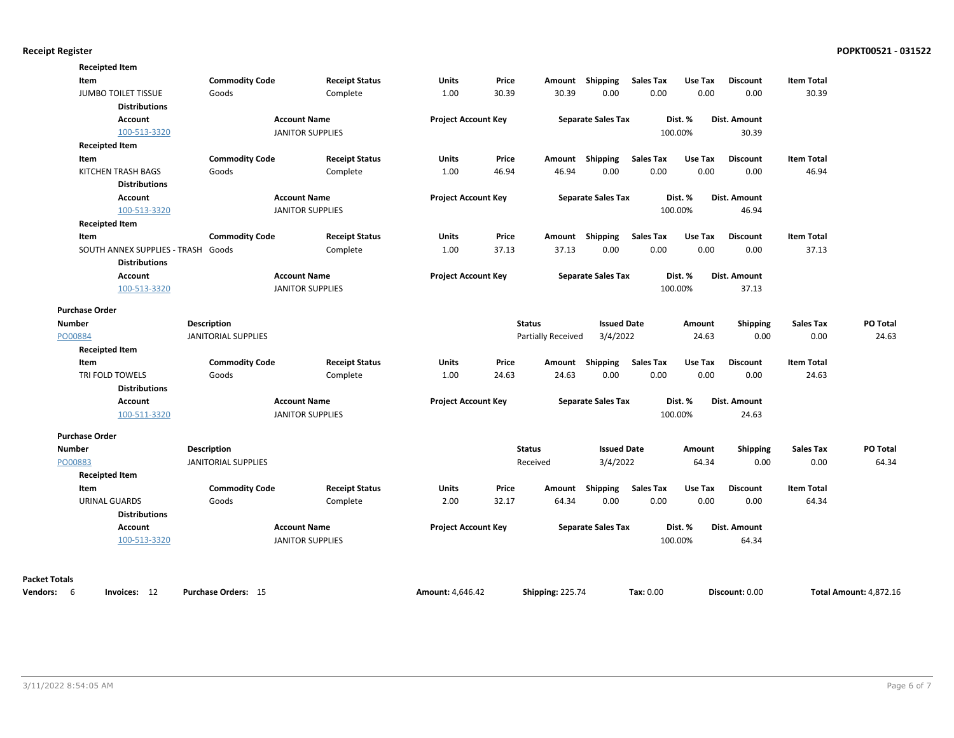|                      | <b>Receipted Item</b>              |                            |                         |                            |       |                         |                           |                  |         |                 |                   |                               |
|----------------------|------------------------------------|----------------------------|-------------------------|----------------------------|-------|-------------------------|---------------------------|------------------|---------|-----------------|-------------------|-------------------------------|
|                      | Item                               | <b>Commodity Code</b>      | <b>Receipt Status</b>   | <b>Units</b>               | Price |                         | Amount Shipping           | <b>Sales Tax</b> | Use Tax | <b>Discount</b> | <b>Item Total</b> |                               |
|                      | <b>JUMBO TOILET TISSUE</b>         | Goods                      | Complete                | 1.00                       | 30.39 | 30.39                   | 0.00                      | 0.00             | 0.00    | 0.00            | 30.39             |                               |
|                      | <b>Distributions</b>               |                            |                         |                            |       |                         |                           |                  |         |                 |                   |                               |
|                      | <b>Account</b>                     |                            | <b>Account Name</b>     | <b>Project Account Key</b> |       |                         | <b>Separate Sales Tax</b> |                  | Dist. % | Dist. Amount    |                   |                               |
|                      | 100-513-3320                       |                            | <b>JANITOR SUPPLIES</b> |                            |       |                         |                           |                  | 100.00% | 30.39           |                   |                               |
|                      | <b>Receipted Item</b>              |                            |                         |                            |       |                         |                           |                  |         |                 |                   |                               |
|                      | Item                               | <b>Commodity Code</b>      | <b>Receipt Status</b>   | <b>Units</b>               | Price |                         | Amount Shipping           | <b>Sales Tax</b> | Use Tax | <b>Discount</b> | <b>Item Total</b> |                               |
|                      | KITCHEN TRASH BAGS                 | Goods                      | Complete                | 1.00                       | 46.94 | 46.94                   | 0.00                      | 0.00             | 0.00    | 0.00            | 46.94             |                               |
|                      | <b>Distributions</b>               |                            |                         |                            |       |                         |                           |                  |         |                 |                   |                               |
|                      | <b>Account</b>                     |                            | <b>Account Name</b>     | <b>Project Account Key</b> |       |                         | <b>Separate Sales Tax</b> |                  | Dist. % | Dist. Amount    |                   |                               |
|                      | 100-513-3320                       |                            | <b>JANITOR SUPPLIES</b> |                            |       |                         |                           |                  | 100.00% | 46.94           |                   |                               |
|                      | <b>Receipted Item</b>              |                            |                         |                            |       |                         |                           |                  |         |                 |                   |                               |
|                      | Item                               | <b>Commodity Code</b>      | <b>Receipt Status</b>   | <b>Units</b>               | Price |                         | Amount Shipping           | <b>Sales Tax</b> | Use Tax | <b>Discount</b> | <b>Item Total</b> |                               |
|                      | SOUTH ANNEX SUPPLIES - TRASH Goods |                            | Complete                | 1.00                       | 37.13 | 37.13                   | 0.00                      | 0.00             | 0.00    | 0.00            | 37.13             |                               |
|                      | <b>Distributions</b>               |                            |                         |                            |       |                         |                           |                  |         |                 |                   |                               |
|                      | <b>Account</b>                     |                            | <b>Account Name</b>     | <b>Project Account Key</b> |       |                         | <b>Separate Sales Tax</b> |                  | Dist. % | Dist. Amount    |                   |                               |
|                      | 100-513-3320                       |                            | <b>JANITOR SUPPLIES</b> |                            |       |                         |                           |                  | 100.00% | 37.13           |                   |                               |
|                      | <b>Purchase Order</b>              |                            |                         |                            |       |                         |                           |                  |         |                 |                   |                               |
| <b>Number</b>        |                                    | <b>Description</b>         |                         |                            |       | <b>Status</b>           | <b>Issued Date</b>        |                  | Amount  | Shipping        | <b>Sales Tax</b>  | PO Total                      |
| PO00884              |                                    | <b>JANITORIAL SUPPLIES</b> |                         |                            |       | Partially Received      | 3/4/2022                  |                  | 24.63   | 0.00            | 0.00              | 24.63                         |
|                      | <b>Receipted Item</b>              |                            |                         |                            |       |                         |                           |                  |         |                 |                   |                               |
|                      | Item                               | <b>Commodity Code</b>      | <b>Receipt Status</b>   | <b>Units</b>               | Price | Amount                  | <b>Shipping</b>           | <b>Sales Tax</b> | Use Tax | <b>Discount</b> | <b>Item Total</b> |                               |
|                      | TRI FOLD TOWELS                    | Goods                      | Complete                | 1.00                       | 24.63 | 24.63                   | 0.00                      | 0.00             | 0.00    | 0.00            | 24.63             |                               |
|                      | <b>Distributions</b>               |                            |                         |                            |       |                         |                           |                  |         |                 |                   |                               |
|                      | Account                            |                            | <b>Account Name</b>     | <b>Project Account Key</b> |       |                         | <b>Separate Sales Tax</b> |                  | Dist. % | Dist. Amount    |                   |                               |
|                      | 100-511-3320                       |                            | <b>JANITOR SUPPLIES</b> |                            |       |                         |                           |                  | 100.00% | 24.63           |                   |                               |
|                      | <b>Purchase Order</b>              |                            |                         |                            |       |                         |                           |                  |         |                 |                   |                               |
| <b>Number</b>        |                                    | <b>Description</b>         |                         |                            |       | <b>Status</b>           | <b>Issued Date</b>        |                  | Amount  | <b>Shipping</b> | <b>Sales Tax</b>  | PO Total                      |
| PO00883              |                                    | <b>JANITORIAL SUPPLIES</b> |                         |                            |       | Received                | 3/4/2022                  |                  | 64.34   | 0.00            | 0.00              | 64.34                         |
|                      | <b>Receipted Item</b>              |                            |                         |                            |       |                         |                           |                  |         |                 |                   |                               |
|                      | Item                               | <b>Commodity Code</b>      | <b>Receipt Status</b>   | Units                      | Price | Amount                  | <b>Shipping</b>           | <b>Sales Tax</b> | Use Tax | <b>Discount</b> | <b>Item Total</b> |                               |
|                      | <b>URINAL GUARDS</b>               | Goods                      | Complete                | 2.00                       | 32.17 | 64.34                   | 0.00                      | 0.00             | 0.00    | 0.00            | 64.34             |                               |
|                      | <b>Distributions</b>               |                            |                         |                            |       |                         |                           |                  |         |                 |                   |                               |
|                      | <b>Account</b>                     |                            | <b>Account Name</b>     | <b>Project Account Key</b> |       |                         | <b>Separate Sales Tax</b> |                  | Dist. % | Dist. Amount    |                   |                               |
|                      | 100-513-3320                       |                            | <b>JANITOR SUPPLIES</b> |                            |       |                         |                           |                  | 100.00% | 64.34           |                   |                               |
|                      |                                    |                            |                         |                            |       |                         |                           |                  |         |                 |                   |                               |
| <b>Packet Totals</b> |                                    |                            |                         |                            |       |                         |                           |                  |         |                 |                   |                               |
| Vendors: 6           | Invoices: 12                       | Purchase Orders: 15        |                         | <b>Amount: 4,646.42</b>    |       | <b>Shipping: 225.74</b> |                           | Tax: 0.00        |         | Discount: 0.00  |                   | <b>Total Amount: 4,872.16</b> |